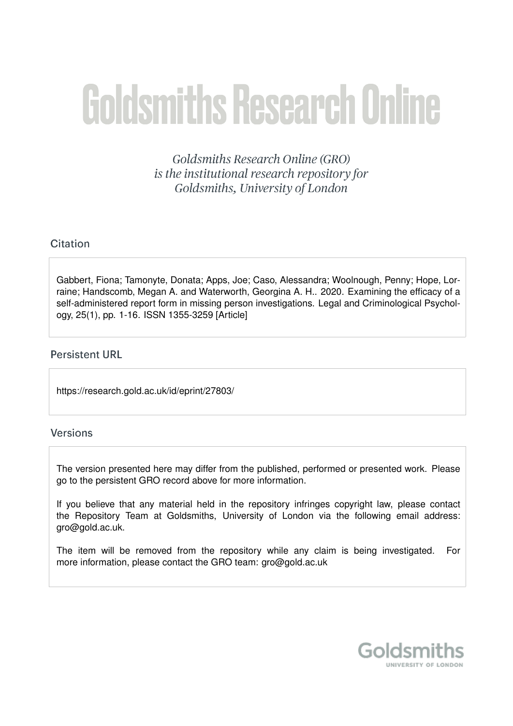# **Goldsmiths Research Online**

Goldsmiths Research Online (GRO) is the institutional research repository for Goldsmiths, University of London

#### Citation

Gabbert, Fiona; Tamonyte, Donata; Apps, Joe; Caso, Alessandra; Woolnough, Penny; Hope, Lorraine; Handscomb, Megan A. and Waterworth, Georgina A. H.. 2020. Examining the efficacy of a self-administered report form in missing person investigations. Legal and Criminological Psychology, 25(1), pp. 1-16. ISSN 1355-3259 [Article]

#### **Persistent URL**

https://research.gold.ac.uk/id/eprint/27803/

#### Versions

The version presented here may differ from the published, performed or presented work. Please go to the persistent GRO record above for more information.

If you believe that any material held in the repository infringes copyright law, please contact the Repository Team at Goldsmiths, University of London via the following email address: gro@gold.ac.uk.

The item will be removed from the repository while any claim is being investigated. For more information, please contact the GRO team: gro@gold.ac.uk

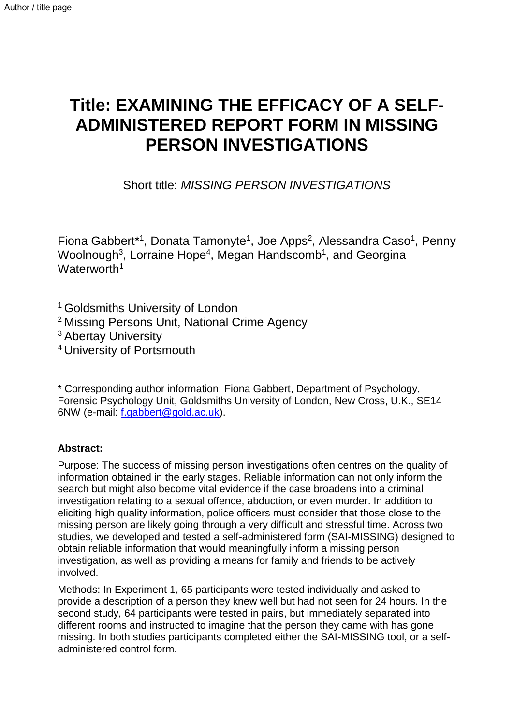# **Title: EXAMINING THE EFFICACY OF A SELF-ADMINISTERED REPORT FORM IN MISSING PERSON INVESTIGATIONS**

Short title: *MISSING PERSON INVESTIGATIONS* 

Fiona Gabbert<sup>\*1</sup>, Donata Tamonyte<sup>1</sup>, Joe Apps<sup>2</sup>, Alessandra Caso<sup>1</sup>, Penny Woolnough<sup>3</sup>, Lorraine Hope<sup>4</sup>, Megan Handscomb<sup>1</sup>, and Georgina Waterworth<sup>1</sup>

<sup>1</sup> Goldsmiths University of London

<sup>2</sup> Missing Persons Unit, National Crime Agency

<sup>3</sup> Abertay University

<sup>4</sup>University of Portsmouth

\* Corresponding author information: Fiona Gabbert, Department of Psychology, Forensic Psychology Unit, Goldsmiths University of London, New Cross, U.K., SE14 6NW (e-mail: [f.gabbert@gold.ac.uk\)](mailto:f.gabbert@gold.ac.uk).

### **Abstract:**

Purpose: The success of missing person investigations often centres on the quality of information obtained in the early stages. Reliable information can not only inform the search but might also become vital evidence if the case broadens into a criminal investigation relating to a sexual offence, abduction, or even murder. In addition to eliciting high quality information, police officers must consider that those close to the missing person are likely going through a very difficult and stressful time. Across two studies, we developed and tested a self-administered form (SAI-MISSING) designed to obtain reliable information that would meaningfully inform a missing person investigation, as well as providing a means for family and friends to be actively involved.

Methods: In Experiment 1, 65 participants were tested individually and asked to provide a description of a person they knew well but had not seen for 24 hours. In the second study, 64 participants were tested in pairs, but immediately separated into different rooms and instructed to imagine that the person they came with has gone missing. In both studies participants completed either the SAI-MISSING tool, or a selfadministered control form.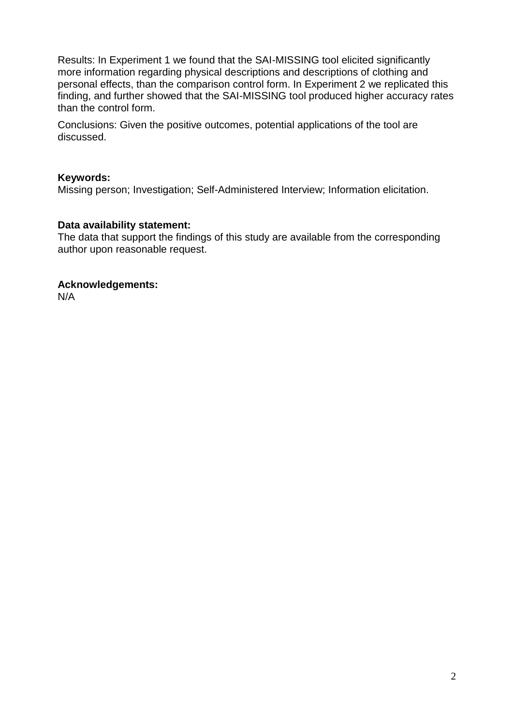Results: In Experiment 1 we found that the SAI-MISSING tool elicited significantly more information regarding physical descriptions and descriptions of clothing and personal effects, than the comparison control form. In Experiment 2 we replicated this finding, and further showed that the SAI-MISSING tool produced higher accuracy rates than the control form.

Conclusions: Given the positive outcomes, potential applications of the tool are discussed.

#### **Keywords:**

Missing person; Investigation; Self-Administered Interview; Information elicitation.

#### **Data availability statement:**

The data that support the findings of this study are available from the corresponding author upon reasonable request.

#### **Acknowledgements:**

N/A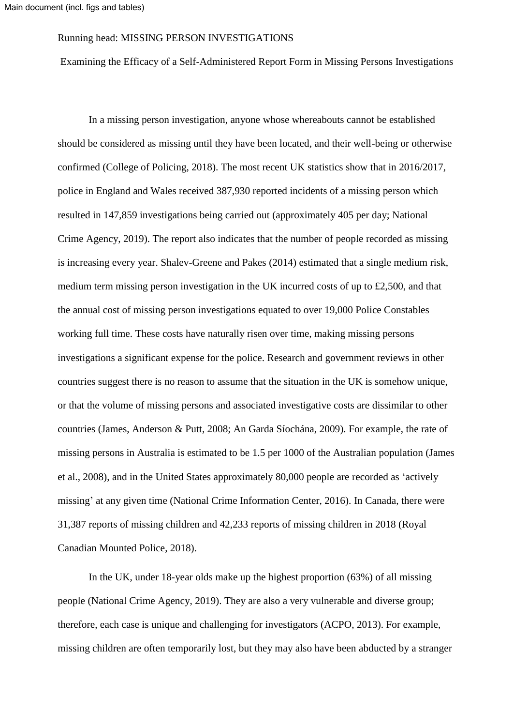#### Running head: MISSING PERSON INVESTIGATIONS

Examining the Efficacy of a Self-Administered Report Form in Missing Persons Investigations

In a missing person investigation, anyone whose whereabouts cannot be established should be considered as missing until they have been located, and their well-being or otherwise confirmed (College of Policing, 2018). The most recent UK statistics show that in 2016/2017, police in England and Wales received 387,930 reported incidents of a missing person which resulted in 147,859 investigations being carried out (approximately 405 per day; National Crime Agency, 2019). The report also indicates that the number of people recorded as missing is increasing every year. Shalev-Greene and Pakes (2014) estimated that a single medium risk, medium term missing person investigation in the UK incurred costs of up to £2,500, and that the annual cost of missing person investigations equated to over 19,000 Police Constables working full time. These costs have naturally risen over time, making missing persons investigations a significant expense for the police. Research and government reviews in other countries suggest there is no reason to assume that the situation in the UK is somehow unique, or that the volume of missing persons and associated investigative costs are dissimilar to other countries (James, Anderson & Putt, 2008; An Garda Síochána, 2009). For example, the rate of missing persons in Australia is estimated to be 1.5 per 1000 of the Australian population (James et al., 2008), and in the United States approximately 80,000 people are recorded as 'actively missing' at any given time (National Crime Information Center, 2016). In Canada, there were 31,387 reports of missing children and 42,233 reports of missing children in 2018 (Royal Canadian Mounted Police, 2018).

In the UK, under 18-year olds make up the highest proportion (63%) of all missing people (National Crime Agency, 2019). They are also a very vulnerable and diverse group; therefore, each case is unique and challenging for investigators (ACPO, 2013). For example, missing children are often temporarily lost, but they may also have been abducted by a stranger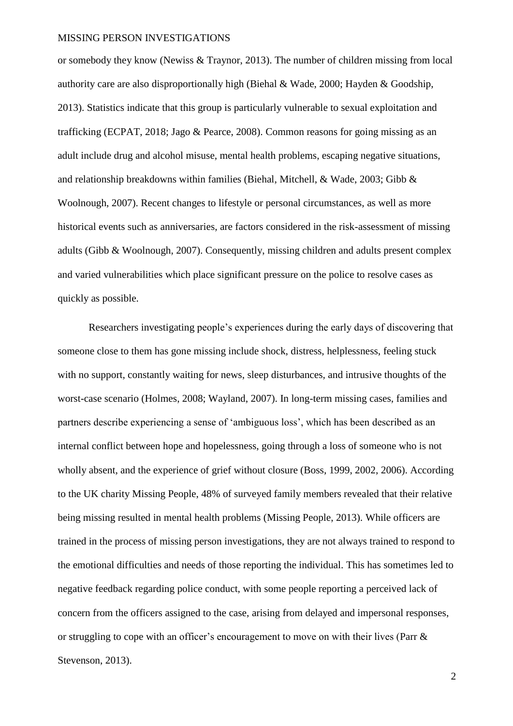or somebody they know (Newiss & Traynor, 2013). The number of children missing from local authority care are also disproportionally high (Biehal & Wade, 2000; Hayden & Goodship, 2013). Statistics indicate that this group is particularly vulnerable to sexual exploitation and trafficking (ECPAT, 2018; Jago & Pearce, 2008). Common reasons for going missing as an adult include drug and alcohol misuse, mental health problems, escaping negative situations, and relationship breakdowns within families (Biehal, Mitchell, & Wade, 2003; Gibb & Woolnough, 2007). Recent changes to lifestyle or personal circumstances, as well as more historical events such as anniversaries, are factors considered in the risk-assessment of missing adults (Gibb & Woolnough, 2007). Consequently, missing children and adults present complex and varied vulnerabilities which place significant pressure on the police to resolve cases as quickly as possible.

Researchers investigating people's experiences during the early days of discovering that someone close to them has gone missing include shock, distress, helplessness, feeling stuck with no support, constantly waiting for news, sleep disturbances, and intrusive thoughts of the worst-case scenario (Holmes, 2008; Wayland, 2007). In long-term missing cases, families and partners describe experiencing a sense of 'ambiguous loss', which has been described as an internal conflict between hope and hopelessness, going through a loss of someone who is not wholly absent, and the experience of grief without closure (Boss, 1999, 2002, 2006). According to the UK charity Missing People, 48% of surveyed family members revealed that their relative being missing resulted in mental health problems (Missing People, 2013). While officers are trained in the process of missing person investigations, they are not always trained to respond to the emotional difficulties and needs of those reporting the individual. This has sometimes led to negative feedback regarding police conduct, with some people reporting a perceived lack of concern from the officers assigned to the case, arising from delayed and impersonal responses, or struggling to cope with an officer's encouragement to move on with their lives (Parr & Stevenson, 2013).

 $\overline{2}$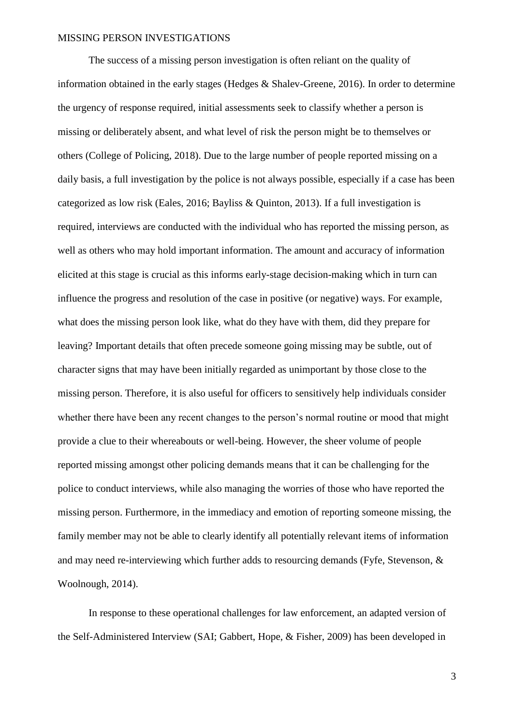The success of a missing person investigation is often reliant on the quality of information obtained in the early stages (Hedges & Shalev-Greene, 2016). In order to determine the urgency of response required, initial assessments seek to classify whether a person is missing or deliberately absent, and what level of risk the person might be to themselves or others (College of Policing, 2018). Due to the large number of people reported missing on a daily basis, a full investigation by the police is not always possible, especially if a case has been categorized as low risk (Eales, 2016; Bayliss & Quinton, 2013). If a full investigation is required, interviews are conducted with the individual who has reported the missing person, as well as others who may hold important information. The amount and accuracy of information elicited at this stage is crucial as this informs early-stage decision-making which in turn can influence the progress and resolution of the case in positive (or negative) ways. For example, what does the missing person look like, what do they have with them, did they prepare for leaving? Important details that often precede someone going missing may be subtle, out of character signs that may have been initially regarded as unimportant by those close to the missing person. Therefore, it is also useful for officers to sensitively help individuals consider whether there have been any recent changes to the person's normal routine or mood that might provide a clue to their whereabouts or well-being. However, the sheer volume of people reported missing amongst other policing demands means that it can be challenging for the police to conduct interviews, while also managing the worries of those who have reported the missing person. Furthermore, in the immediacy and emotion of reporting someone missing, the family member may not be able to clearly identify all potentially relevant items of information and may need re-interviewing which further adds to resourcing demands (Fyfe, Stevenson, & Woolnough, 2014).

In response to these operational challenges for law enforcement, an adapted version of the Self-Administered Interview (SAI; Gabbert, Hope, & Fisher, 2009) has been developed in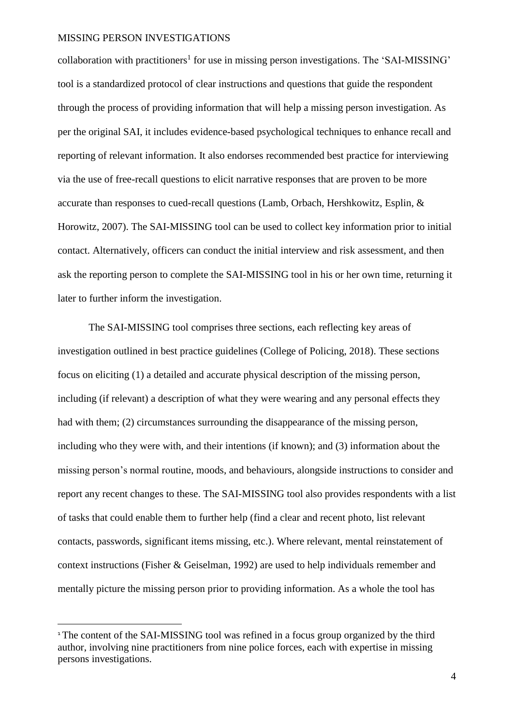collaboration with practitioners<sup>1</sup> for use in missing person investigations. The 'SAI-MISSING' tool is a standardized protocol of clear instructions and questions that guide the respondent through the process of providing information that will help a missing person investigation. As per the original SAI, it includes evidence-based psychological techniques to enhance recall and reporting of relevant information. It also endorses recommended best practice for interviewing via the use of free-recall questions to elicit narrative responses that are proven to be more accurate than responses to cued-recall questions (Lamb, Orbach, Hershkowitz, Esplin, & Horowitz, 2007). The SAI-MISSING tool can be used to collect key information prior to initial contact. Alternatively, officers can conduct the initial interview and risk assessment, and then ask the reporting person to complete the SAI-MISSING tool in his or her own time, returning it later to further inform the investigation.

The SAI-MISSING tool comprises three sections, each reflecting key areas of investigation outlined in best practice guidelines (College of Policing, 2018). These sections focus on eliciting (1) a detailed and accurate physical description of the missing person, including (if relevant) a description of what they were wearing and any personal effects they had with them; (2) circumstances surrounding the disappearance of the missing person, including who they were with, and their intentions (if known); and (3) information about the missing person's normal routine, moods, and behaviours, alongside instructions to consider and report any recent changes to these. The SAI-MISSING tool also provides respondents with a list of tasks that could enable them to further help (find a clear and recent photo, list relevant contacts, passwords, significant items missing, etc.). Where relevant, mental reinstatement of context instructions (Fisher & Geiselman, 1992) are used to help individuals remember and mentally picture the missing person prior to providing information. As a whole the tool has

 $\overline{a}$ 

<sup>&</sup>lt;sup>1</sup> The content of the SAI-MISSING tool was refined in a focus group organized by the third author, involving nine practitioners from nine police forces, each with expertise in missing persons investigations.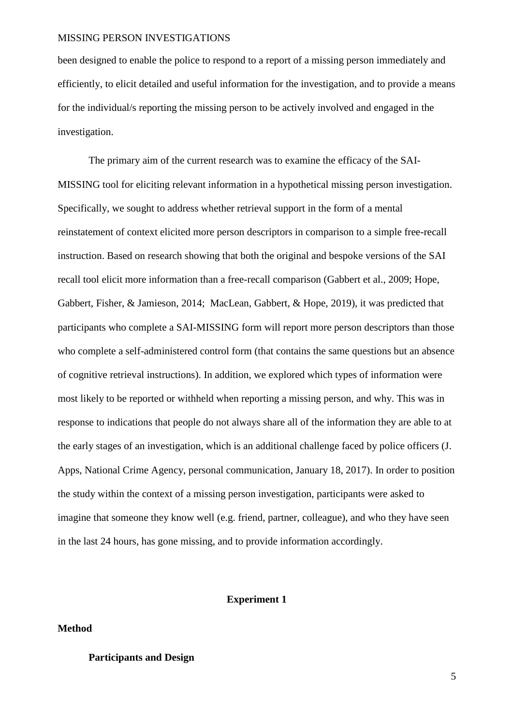been designed to enable the police to respond to a report of a missing person immediately and efficiently, to elicit detailed and useful information for the investigation, and to provide a means for the individual/s reporting the missing person to be actively involved and engaged in the investigation.

The primary aim of the current research was to examine the efficacy of the SAI-MISSING tool for eliciting relevant information in a hypothetical missing person investigation. Specifically, we sought to address whether retrieval support in the form of a mental reinstatement of context elicited more person descriptors in comparison to a simple free-recall instruction. Based on research showing that both the original and bespoke versions of the SAI recall tool elicit more information than a free-recall comparison (Gabbert et al., 2009; Hope, Gabbert, Fisher, & Jamieson, 2014; MacLean, Gabbert, & Hope, 2019), it was predicted that participants who complete a SAI-MISSING form will report more person descriptors than those who complete a self-administered control form (that contains the same questions but an absence of cognitive retrieval instructions). In addition, we explored which types of information were most likely to be reported or withheld when reporting a missing person, and why. This was in response to indications that people do not always share all of the information they are able to at the early stages of an investigation, which is an additional challenge faced by police officers (J. Apps, National Crime Agency, personal communication, January 18, 2017). In order to position the study within the context of a missing person investigation, participants were asked to imagine that someone they know well (e.g. friend, partner, colleague), and who they have seen in the last 24 hours, has gone missing, and to provide information accordingly.

#### **Experiment 1**

**Method**

#### **Participants and Design**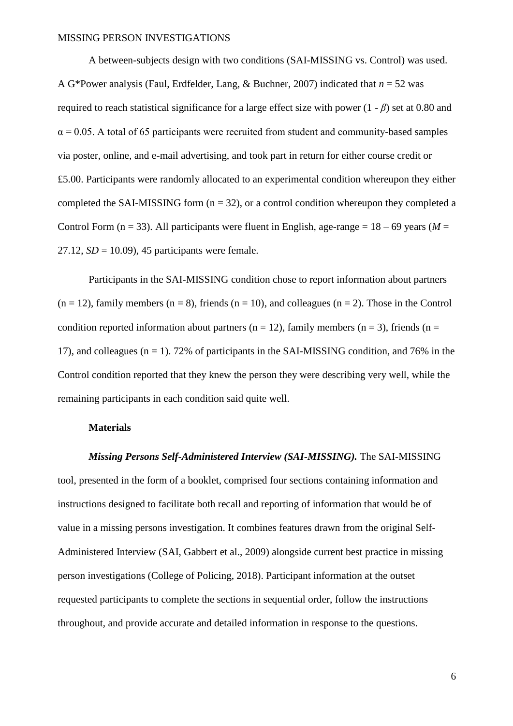A between-subjects design with two conditions (SAI-MISSING vs. Control) was used. A G\*Power analysis (Faul, Erdfelder, Lang, & Buchner, 2007) indicated that *n* = 52 was required to reach statistical significance for a large effect size with power (1 - *β*) set at 0.80 and  $\alpha$  = 0.05. A total of 65 participants were recruited from student and community-based samples via poster, online, and e-mail advertising, and took part in return for either course credit or £5.00. Participants were randomly allocated to an experimental condition whereupon they either completed the SAI-MISSING form  $(n = 32)$ , or a control condition whereupon they completed a Control Form ( $n = 33$ ). All participants were fluent in English, age-range =  $18 - 69$  years ( $M =$ 27.12,  $SD = 10.09$ , 45 participants were female.

Participants in the SAI-MISSING condition chose to report information about partners  $(n = 12)$ , family members  $(n = 8)$ , friends  $(n = 10)$ , and colleagues  $(n = 2)$ . Those in the Control condition reported information about partners ( $n = 12$ ), family members ( $n = 3$ ), friends ( $n =$ 17), and colleagues  $(n = 1)$ . 72% of participants in the SAI-MISSING condition, and 76% in the Control condition reported that they knew the person they were describing very well, while the remaining participants in each condition said quite well.

#### **Materials**

#### *Missing Persons Self-Administered Interview (SAI-MISSING).* The SAI-MISSING

tool, presented in the form of a booklet, comprised four sections containing information and instructions designed to facilitate both recall and reporting of information that would be of value in a missing persons investigation. It combines features drawn from the original Self-Administered Interview (SAI, Gabbert et al., 2009) alongside current best practice in missing person investigations (College of Policing, 2018). Participant information at the outset requested participants to complete the sections in sequential order, follow the instructions throughout, and provide accurate and detailed information in response to the questions.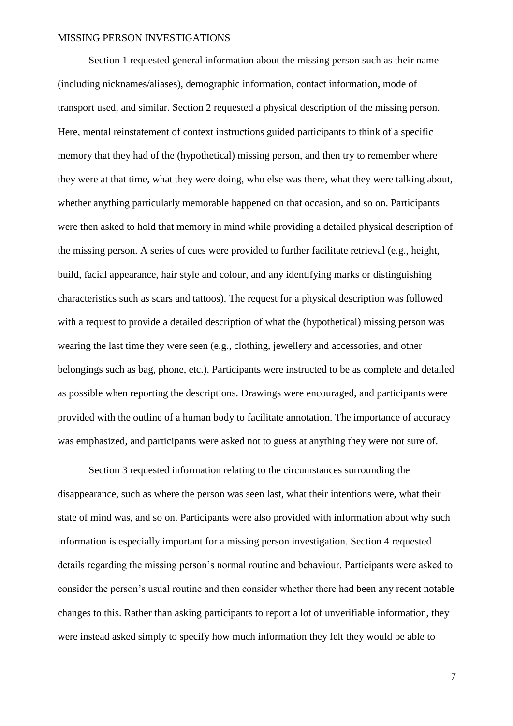Section 1 requested general information about the missing person such as their name (including nicknames/aliases), demographic information, contact information, mode of transport used, and similar. Section 2 requested a physical description of the missing person. Here, mental reinstatement of context instructions guided participants to think of a specific memory that they had of the (hypothetical) missing person, and then try to remember where they were at that time, what they were doing, who else was there, what they were talking about, whether anything particularly memorable happened on that occasion, and so on. Participants were then asked to hold that memory in mind while providing a detailed physical description of the missing person. A series of cues were provided to further facilitate retrieval (e.g., height, build, facial appearance, hair style and colour, and any identifying marks or distinguishing characteristics such as scars and tattoos). The request for a physical description was followed with a request to provide a detailed description of what the (hypothetical) missing person was wearing the last time they were seen (e.g., clothing, jewellery and accessories, and other belongings such as bag, phone, etc.). Participants were instructed to be as complete and detailed as possible when reporting the descriptions. Drawings were encouraged, and participants were provided with the outline of a human body to facilitate annotation. The importance of accuracy was emphasized, and participants were asked not to guess at anything they were not sure of.

Section 3 requested information relating to the circumstances surrounding the disappearance, such as where the person was seen last, what their intentions were, what their state of mind was, and so on. Participants were also provided with information about why such information is especially important for a missing person investigation. Section 4 requested details regarding the missing person's normal routine and behaviour. Participants were asked to consider the person's usual routine and then consider whether there had been any recent notable changes to this. Rather than asking participants to report a lot of unverifiable information, they were instead asked simply to specify how much information they felt they would be able to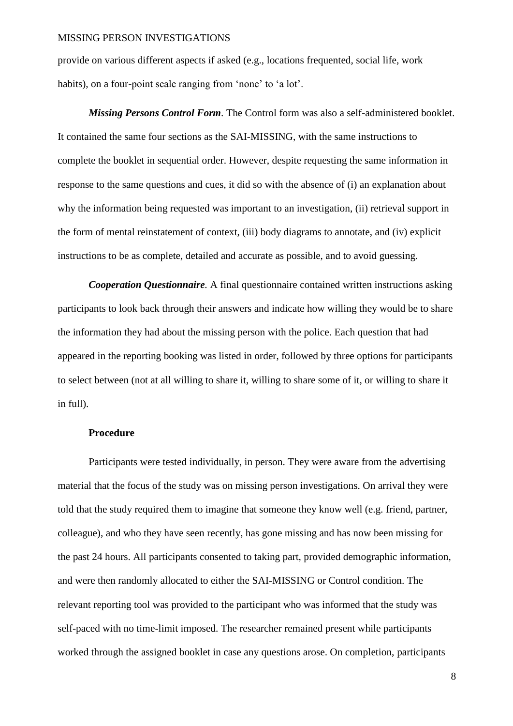provide on various different aspects if asked (e.g., locations frequented, social life, work habits), on a four-point scale ranging from 'none' to 'a lot'.

*Missing Persons Control Form.* The Control form was also a self-administered booklet. It contained the same four sections as the SAI-MISSING, with the same instructions to complete the booklet in sequential order. However, despite requesting the same information in response to the same questions and cues, it did so with the absence of (i) an explanation about why the information being requested was important to an investigation, (ii) retrieval support in the form of mental reinstatement of context, (iii) body diagrams to annotate, and (iv) explicit instructions to be as complete, detailed and accurate as possible, and to avoid guessing.

*Cooperation Questionnaire.* A final questionnaire contained written instructions asking participants to look back through their answers and indicate how willing they would be to share the information they had about the missing person with the police. Each question that had appeared in the reporting booking was listed in order, followed by three options for participants to select between (not at all willing to share it, willing to share some of it, or willing to share it in full).

#### **Procedure**

Participants were tested individually, in person. They were aware from the advertising material that the focus of the study was on missing person investigations. On arrival they were told that the study required them to imagine that someone they know well (e.g. friend, partner, colleague), and who they have seen recently, has gone missing and has now been missing for the past 24 hours. All participants consented to taking part, provided demographic information, and were then randomly allocated to either the SAI-MISSING or Control condition. The relevant reporting tool was provided to the participant who was informed that the study was self-paced with no time-limit imposed. The researcher remained present while participants worked through the assigned booklet in case any questions arose. On completion, participants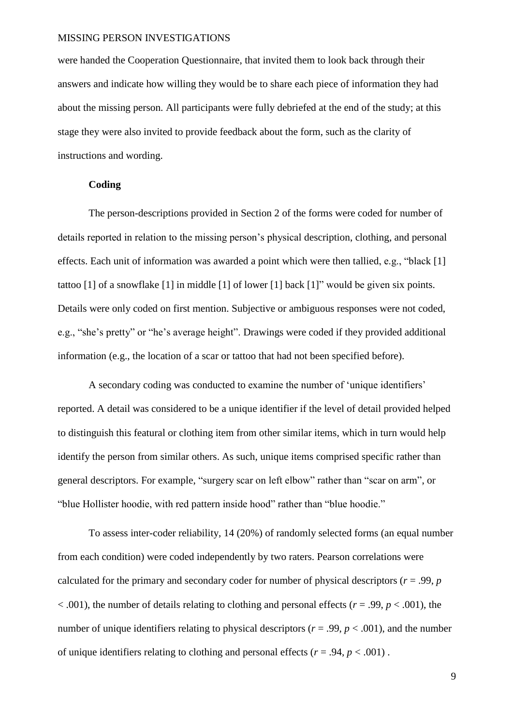were handed the Cooperation Questionnaire, that invited them to look back through their answers and indicate how willing they would be to share each piece of information they had about the missing person. All participants were fully debriefed at the end of the study; at this stage they were also invited to provide feedback about the form, such as the clarity of instructions and wording.

#### **Coding**

The person-descriptions provided in Section 2 of the forms were coded for number of details reported in relation to the missing person's physical description, clothing, and personal effects. Each unit of information was awarded a point which were then tallied, e.g., "black [1] tattoo [1] of a snowflake [1] in middle [1] of lower [1] back [1]" would be given six points. Details were only coded on first mention. Subjective or ambiguous responses were not coded, e.g., "she's pretty" or "he's average height". Drawings were coded if they provided additional information (e.g., the location of a scar or tattoo that had not been specified before).

A secondary coding was conducted to examine the number of 'unique identifiers' reported. A detail was considered to be a unique identifier if the level of detail provided helped to distinguish this featural or clothing item from other similar items, which in turn would help identify the person from similar others. As such, unique items comprised specific rather than general descriptors. For example, "surgery scar on left elbow" rather than "scar on arm", or "blue Hollister hoodie, with red pattern inside hood" rather than "blue hoodie."

To assess inter-coder reliability, 14 (20%) of randomly selected forms (an equal number from each condition) were coded independently by two raters. Pearson correlations were calculated for the primary and secondary coder for number of physical descriptors ( $r = .99$ ,  $p = .99$  $<$  0.01), the number of details relating to clothing and personal effects ( $r = .99$ ,  $p < .001$ ), the number of unique identifiers relating to physical descriptors ( $r = .99$ ,  $p < .001$ ), and the number of unique identifiers relating to clothing and personal effects ( $r = .94$ ,  $p < .001$ ).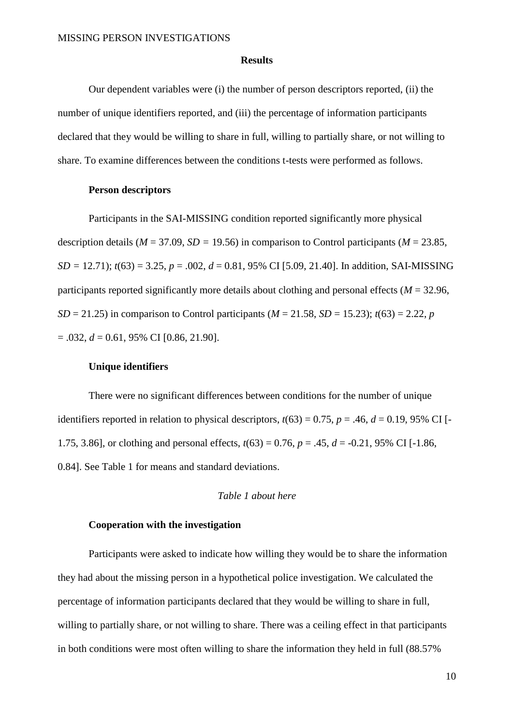#### **Results**

Our dependent variables were (i) the number of person descriptors reported, (ii) the number of unique identifiers reported, and (iii) the percentage of information participants declared that they would be willing to share in full, willing to partially share, or not willing to share. To examine differences between the conditions t-tests were performed as follows.

#### **Person descriptors**

Participants in the SAI-MISSING condition reported significantly more physical description details ( $M = 37.09$ ,  $SD = 19.56$ ) in comparison to Control participants ( $M = 23.85$ ,  $SD = 12.71$ ;  $t(63) = 3.25$ ,  $p = .002$ ,  $d = 0.81$ , 95% CI [5.09, 21.40]. In addition, SAI-MISSING participants reported significantly more details about clothing and personal effects (*M* = 32.96, *SD* = 21.25) in comparison to Control participants ( $M = 21.58$ , *SD* = 15.23);  $t(63) = 2.22$ , *p*  $= .032, d = 0.61, 95\% \text{ CI} [0.86, 21.90].$ 

#### **Unique identifiers**

There were no significant differences between conditions for the number of unique identifiers reported in relation to physical descriptors,  $t(63) = 0.75$ ,  $p = .46$ ,  $d = 0.19$ , 95% CI [-1.75, 3.86], or clothing and personal effects, *t*(63) = 0.76, *p* = .45, *d* = -0.21, 95% CI [-1.86, 0.84]. See Table 1 for means and standard deviations.

#### *Table 1 about here*

#### **Cooperation with the investigation**

Participants were asked to indicate how willing they would be to share the information they had about the missing person in a hypothetical police investigation. We calculated the percentage of information participants declared that they would be willing to share in full, willing to partially share, or not willing to share. There was a ceiling effect in that participants in both conditions were most often willing to share the information they held in full (88.57%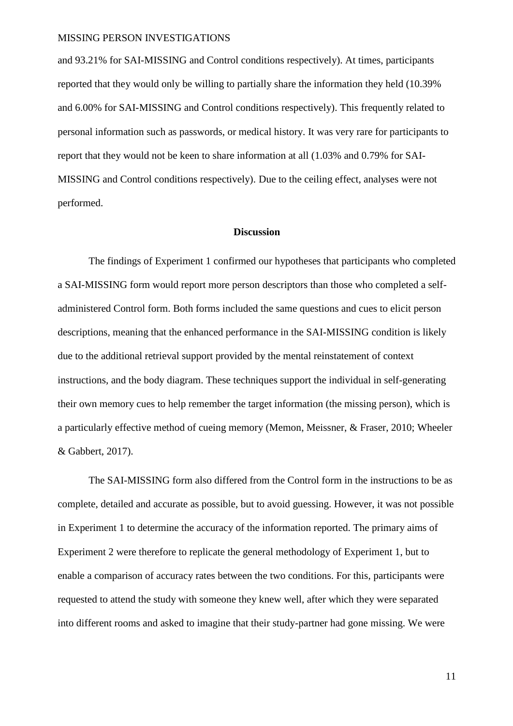and 93.21% for SAI-MISSING and Control conditions respectively). At times, participants reported that they would only be willing to partially share the information they held (10.39% and 6.00% for SAI-MISSING and Control conditions respectively). This frequently related to personal information such as passwords, or medical history. It was very rare for participants to report that they would not be keen to share information at all (1.03% and 0.79% for SAI-MISSING and Control conditions respectively). Due to the ceiling effect, analyses were not performed.

#### **Discussion**

The findings of Experiment 1 confirmed our hypotheses that participants who completed a SAI-MISSING form would report more person descriptors than those who completed a selfadministered Control form. Both forms included the same questions and cues to elicit person descriptions, meaning that the enhanced performance in the SAI-MISSING condition is likely due to the additional retrieval support provided by the mental reinstatement of context instructions, and the body diagram. These techniques support the individual in self-generating their own memory cues to help remember the target information (the missing person), which is a particularly effective method of cueing memory (Memon, Meissner, & Fraser, 2010; Wheeler & Gabbert, 2017).

The SAI-MISSING form also differed from the Control form in the instructions to be as complete, detailed and accurate as possible, but to avoid guessing. However, it was not possible in Experiment 1 to determine the accuracy of the information reported. The primary aims of Experiment 2 were therefore to replicate the general methodology of Experiment 1, but to enable a comparison of accuracy rates between the two conditions. For this, participants were requested to attend the study with someone they knew well, after which they were separated into different rooms and asked to imagine that their study-partner had gone missing. We were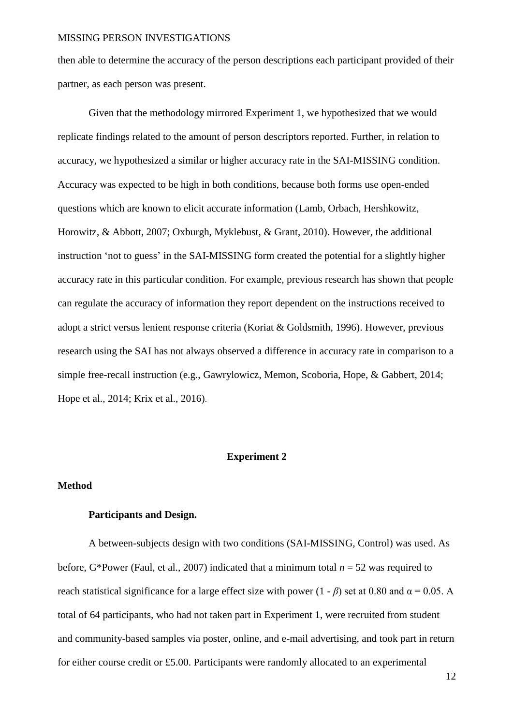then able to determine the accuracy of the person descriptions each participant provided of their partner, as each person was present.

Given that the methodology mirrored Experiment 1, we hypothesized that we would replicate findings related to the amount of person descriptors reported. Further, in relation to accuracy, we hypothesized a similar or higher accuracy rate in the SAI-MISSING condition. Accuracy was expected to be high in both conditions, because both forms use open-ended questions which are known to elicit accurate information (Lamb, Orbach, Hershkowitz, Horowitz, & Abbott, 2007; Oxburgh, Myklebust, & Grant, 2010). However, the additional instruction 'not to guess' in the SAI-MISSING form created the potential for a slightly higher accuracy rate in this particular condition. For example, previous research has shown that people can regulate the accuracy of information they report dependent on the instructions received to adopt a strict versus lenient response criteria (Koriat & Goldsmith, 1996). However, previous research using the SAI has not always observed a difference in accuracy rate in comparison to a simple free-recall instruction (e.g., Gawrylowicz, Memon, Scoboria, Hope, & Gabbert, 2014; Hope et al., 2014; Krix et al., 2016).

#### **Experiment 2**

#### **Method**

#### **Participants and Design.**

A between-subjects design with two conditions (SAI-MISSING, Control) was used. As before, G\*Power (Faul, et al., 2007) indicated that a minimum total  $n = 52$  was required to reach statistical significance for a large effect size with power  $(1 - \beta)$  set at 0.80 and  $\alpha = 0.05$ . A total of 64 participants, who had not taken part in Experiment 1, were recruited from student and community-based samples via poster, online, and e-mail advertising, and took part in return for either course credit or £5.00. Participants were randomly allocated to an experimental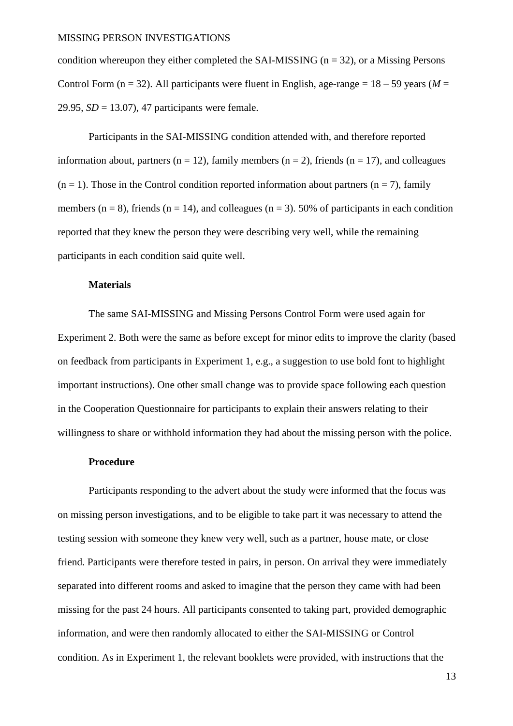condition whereupon they either completed the SAI-MISSING ( $n = 32$ ), or a Missing Persons Control Form ( $n = 32$ ). All participants were fluent in English, age-range =  $18 - 59$  years ( $M =$ 29.95, *SD* = 13.07), 47 participants were female.

Participants in the SAI-MISSING condition attended with, and therefore reported information about, partners ( $n = 12$ ), family members ( $n = 2$ ), friends ( $n = 17$ ), and colleagues  $(n = 1)$ . Those in the Control condition reported information about partners  $(n = 7)$ , family members ( $n = 8$ ), friends ( $n = 14$ ), and colleagues ( $n = 3$ ). 50% of participants in each condition reported that they knew the person they were describing very well, while the remaining participants in each condition said quite well.

#### **Materials**

The same SAI-MISSING and Missing Persons Control Form were used again for Experiment 2. Both were the same as before except for minor edits to improve the clarity (based on feedback from participants in Experiment 1, e.g., a suggestion to use bold font to highlight important instructions). One other small change was to provide space following each question in the Cooperation Questionnaire for participants to explain their answers relating to their willingness to share or withhold information they had about the missing person with the police.

#### **Procedure**

Participants responding to the advert about the study were informed that the focus was on missing person investigations, and to be eligible to take part it was necessary to attend the testing session with someone they knew very well, such as a partner, house mate, or close friend. Participants were therefore tested in pairs, in person. On arrival they were immediately separated into different rooms and asked to imagine that the person they came with had been missing for the past 24 hours. All participants consented to taking part, provided demographic information, and were then randomly allocated to either the SAI-MISSING or Control condition. As in Experiment 1, the relevant booklets were provided, with instructions that the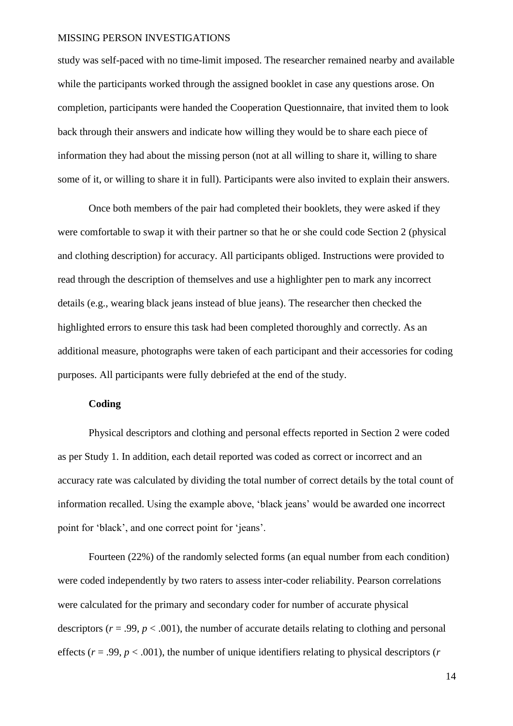study was self-paced with no time-limit imposed. The researcher remained nearby and available while the participants worked through the assigned booklet in case any questions arose. On completion, participants were handed the Cooperation Questionnaire, that invited them to look back through their answers and indicate how willing they would be to share each piece of information they had about the missing person (not at all willing to share it, willing to share some of it, or willing to share it in full). Participants were also invited to explain their answers.

Once both members of the pair had completed their booklets, they were asked if they were comfortable to swap it with their partner so that he or she could code Section 2 (physical and clothing description) for accuracy. All participants obliged. Instructions were provided to read through the description of themselves and use a highlighter pen to mark any incorrect details (e.g., wearing black jeans instead of blue jeans). The researcher then checked the highlighted errors to ensure this task had been completed thoroughly and correctly. As an additional measure, photographs were taken of each participant and their accessories for coding purposes. All participants were fully debriefed at the end of the study.

#### **Coding**

Physical descriptors and clothing and personal effects reported in Section 2 were coded as per Study 1. In addition, each detail reported was coded as correct or incorrect and an accuracy rate was calculated by dividing the total number of correct details by the total count of information recalled. Using the example above, 'black jeans' would be awarded one incorrect point for 'black', and one correct point for 'jeans'.

Fourteen (22%) of the randomly selected forms (an equal number from each condition) were coded independently by two raters to assess inter-coder reliability. Pearson correlations were calculated for the primary and secondary coder for number of accurate physical descriptors ( $r = .99$ ,  $p < .001$ ), the number of accurate details relating to clothing and personal effects ( $r = .99$ ,  $p < .001$ ), the number of unique identifiers relating to physical descriptors ( $r$ )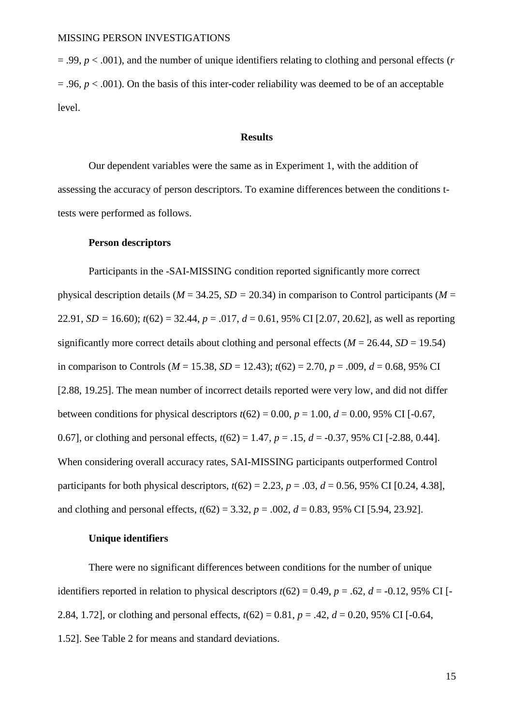= .99, *p* < .001), and the number of unique identifiers relating to clothing and personal effects (*r*  $= .96$ ,  $p < .001$ ). On the basis of this inter-coder reliability was deemed to be of an acceptable level.

#### **Results**

Our dependent variables were the same as in Experiment 1, with the addition of assessing the accuracy of person descriptors. To examine differences between the conditions ttests were performed as follows.

#### **Person descriptors**

Participants in the -SAI-MISSING condition reported significantly more correct physical description details ( $M = 34.25$ ,  $SD = 20.34$ ) in comparison to Control participants ( $M =$ 22.91, *SD* = 16.60);  $t(62) = 32.44$ ,  $p = .017$ ,  $d = 0.61$ , 95% CI [2.07, 20.62], as well as reporting significantly more correct details about clothing and personal effects ( $M = 26.44$ ,  $SD = 19.54$ ) in comparison to Controls ( $M = 15.38$ ,  $SD = 12.43$ );  $t(62) = 2.70$ ,  $p = .009$ ,  $d = 0.68$ , 95% CI [2.88, 19.25]. The mean number of incorrect details reported were very low, and did not differ between conditions for physical descriptors  $t(62) = 0.00$ ,  $p = 1.00$ ,  $d = 0.00$ , 95% CI [-0.67, 0.67], or clothing and personal effects,  $t(62) = 1.47$ ,  $p = .15$ ,  $d = -0.37$ , 95% CI [-2.88, 0.44]. When considering overall accuracy rates, SAI-MISSING participants outperformed Control participants for both physical descriptors,  $t(62) = 2.23$ ,  $p = .03$ ,  $d = 0.56$ , 95% CI [0.24, 4.38], and clothing and personal effects,  $t(62) = 3.32$ ,  $p = .002$ ,  $d = 0.83$ , 95% CI [5.94, 23.92].

#### **Unique identifiers**

There were no significant differences between conditions for the number of unique identifiers reported in relation to physical descriptors  $t(62) = 0.49$ ,  $p = .62$ ,  $d = -0.12$ , 95% CI [-2.84, 1.72], or clothing and personal effects,  $t(62) = 0.81$ ,  $p = .42$ ,  $d = 0.20$ , 95% CI [-0.64, 1.52]. See Table 2 for means and standard deviations.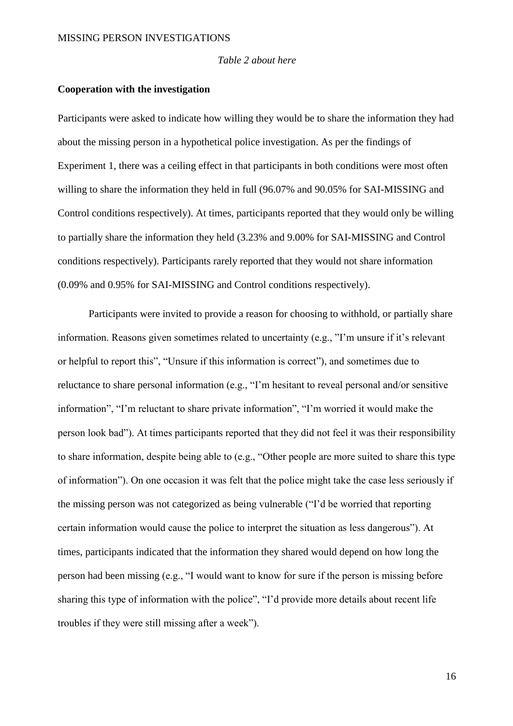#### *Table 2 about here*

#### **Cooperation with the investigation**

Participants were asked to indicate how willing they would be to share the information they had about the missing person in a hypothetical police investigation. As per the findings of Experiment 1, there was a ceiling effect in that participants in both conditions were most often willing to share the information they held in full (96.07% and 90.05% for SAI-MISSING and Control conditions respectively). At times, participants reported that they would only be willing to partially share the information they held (3.23% and 9.00% for SAI-MISSING and Control conditions respectively). Participants rarely reported that they would not share information (0.09% and 0.95% for SAI-MISSING and Control conditions respectively).

Participants were invited to provide a reason for choosing to withhold, or partially share information. Reasons given sometimes related to uncertainty (e.g., "I'm unsure if it's relevant or helpful to report this", "Unsure if this information is correct"), and sometimes due to reluctance to share personal information (e.g., "I'm hesitant to reveal personal and/or sensitive information", "I'm reluctant to share private information", "I'm worried it would make the person look bad"). At times participants reported that they did not feel it was their responsibility to share information, despite being able to (e.g., "Other people are more suited to share this type of information"). On one occasion it was felt that the police might take the case less seriously if the missing person was not categorized as being vulnerable ("I'd be worried that reporting certain information would cause the police to interpret the situation as less dangerous"). At times, participants indicated that the information they shared would depend on how long the person had been missing (e.g., "I would want to know for sure if the person is missing before sharing this type of information with the police", "I'd provide more details about recent life troubles if they were still missing after a week").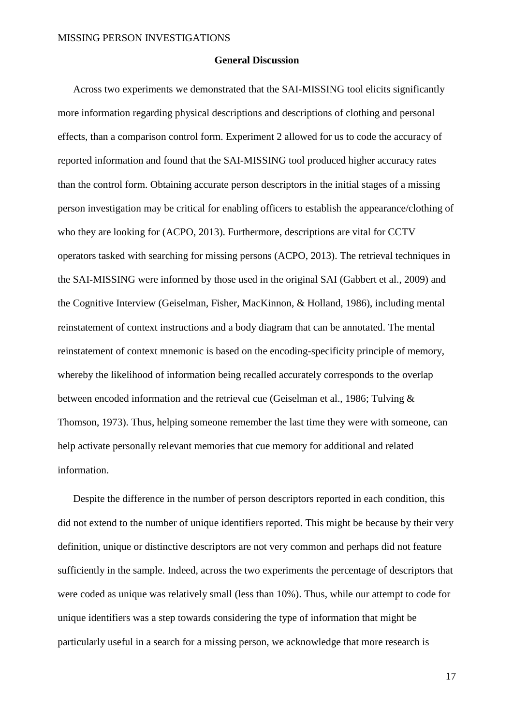#### **General Discussion**

Across two experiments we demonstrated that the SAI-MISSING tool elicits significantly more information regarding physical descriptions and descriptions of clothing and personal effects, than a comparison control form. Experiment 2 allowed for us to code the accuracy of reported information and found that the SAI-MISSING tool produced higher accuracy rates than the control form. Obtaining accurate person descriptors in the initial stages of a missing person investigation may be critical for enabling officers to establish the appearance/clothing of who they are looking for (ACPO, 2013). Furthermore, descriptions are vital for CCTV operators tasked with searching for missing persons (ACPO, 2013). The retrieval techniques in the SAI-MISSING were informed by those used in the original SAI (Gabbert et al., 2009) and the Cognitive Interview (Geiselman, Fisher, MacKinnon, & Holland, 1986), including mental reinstatement of context instructions and a body diagram that can be annotated. The mental reinstatement of context mnemonic is based on the encoding-specificity principle of memory, whereby the likelihood of information being recalled accurately corresponds to the overlap between encoded information and the retrieval cue (Geiselman et al., 1986; Tulving & Thomson, 1973). Thus, helping someone remember the last time they were with someone, can help activate personally relevant memories that cue memory for additional and related information.

Despite the difference in the number of person descriptors reported in each condition, this did not extend to the number of unique identifiers reported. This might be because by their very definition, unique or distinctive descriptors are not very common and perhaps did not feature sufficiently in the sample. Indeed, across the two experiments the percentage of descriptors that were coded as unique was relatively small (less than 10%). Thus, while our attempt to code for unique identifiers was a step towards considering the type of information that might be particularly useful in a search for a missing person, we acknowledge that more research is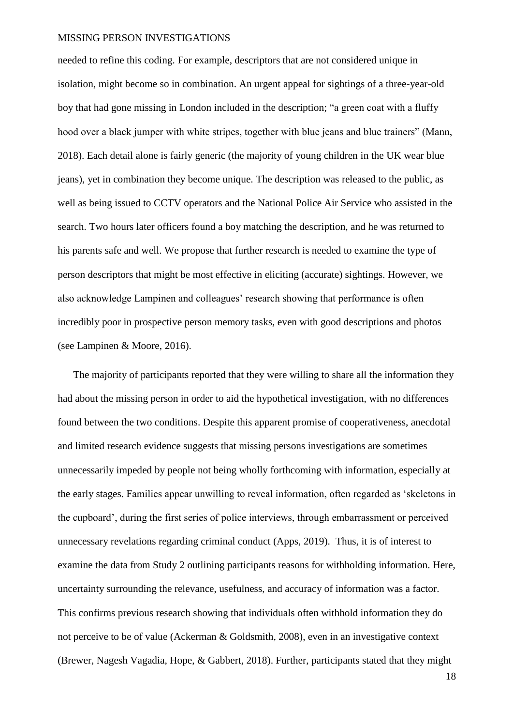needed to refine this coding. For example, descriptors that are not considered unique in isolation, might become so in combination. An urgent appeal for sightings of a three-year-old boy that had gone missing in London included in the description; "a green coat with a fluffy hood over a black jumper with white stripes, together with blue jeans and blue trainers" (Mann, 2018). Each detail alone is fairly generic (the majority of young children in the UK wear blue jeans), yet in combination they become unique. The description was released to the public, as well as being issued to CCTV operators and the National Police Air Service who assisted in the search. Two hours later officers found a boy matching the description, and he was returned to his parents safe and well. We propose that further research is needed to examine the type of person descriptors that might be most effective in eliciting (accurate) sightings. However, we also acknowledge Lampinen and colleagues' research showing that performance is often incredibly poor in prospective person memory tasks, even with good descriptions and photos (see Lampinen & Moore, 2016).

The majority of participants reported that they were willing to share all the information they had about the missing person in order to aid the hypothetical investigation, with no differences found between the two conditions. Despite this apparent promise of cooperativeness, anecdotal and limited research evidence suggests that missing persons investigations are sometimes unnecessarily impeded by people not being wholly forthcoming with information, especially at the early stages. Families appear unwilling to reveal information, often regarded as 'skeletons in the cupboard', during the first series of police interviews, through embarrassment or perceived unnecessary revelations regarding criminal conduct (Apps, 2019). Thus, it is of interest to examine the data from Study 2 outlining participants reasons for withholding information. Here, uncertainty surrounding the relevance, usefulness, and accuracy of information was a factor. This confirms previous research showing that individuals often withhold information they do not perceive to be of value (Ackerman & Goldsmith, 2008), even in an investigative context (Brewer, Nagesh Vagadia, Hope, & Gabbert, 2018). Further, participants stated that they might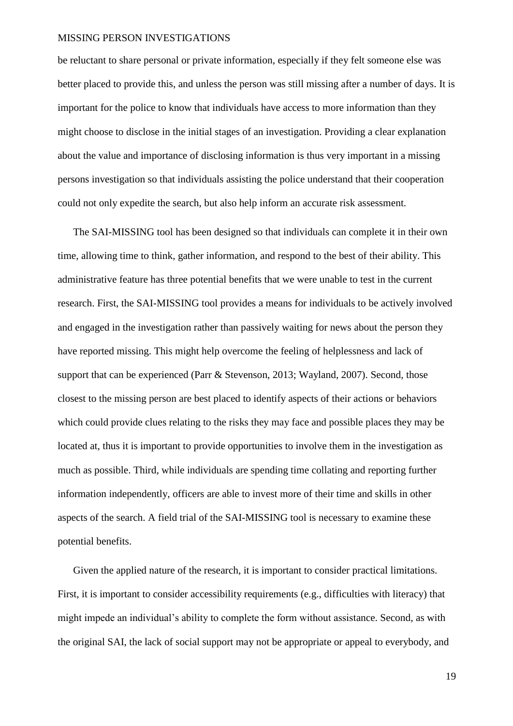be reluctant to share personal or private information, especially if they felt someone else was better placed to provide this, and unless the person was still missing after a number of days. It is important for the police to know that individuals have access to more information than they might choose to disclose in the initial stages of an investigation. Providing a clear explanation about the value and importance of disclosing information is thus very important in a missing persons investigation so that individuals assisting the police understand that their cooperation could not only expedite the search, but also help inform an accurate risk assessment.

The SAI-MISSING tool has been designed so that individuals can complete it in their own time, allowing time to think, gather information, and respond to the best of their ability. This administrative feature has three potential benefits that we were unable to test in the current research. First, the SAI-MISSING tool provides a means for individuals to be actively involved and engaged in the investigation rather than passively waiting for news about the person they have reported missing. This might help overcome the feeling of helplessness and lack of support that can be experienced (Parr & Stevenson, 2013; Wayland, 2007). Second, those closest to the missing person are best placed to identify aspects of their actions or behaviors which could provide clues relating to the risks they may face and possible places they may be located at, thus it is important to provide opportunities to involve them in the investigation as much as possible. Third, while individuals are spending time collating and reporting further information independently, officers are able to invest more of their time and skills in other aspects of the search. A field trial of the SAI-MISSING tool is necessary to examine these potential benefits.

Given the applied nature of the research, it is important to consider practical limitations. First, it is important to consider accessibility requirements (e.g., difficulties with literacy) that might impede an individual's ability to complete the form without assistance. Second, as with the original SAI, the lack of social support may not be appropriate or appeal to everybody, and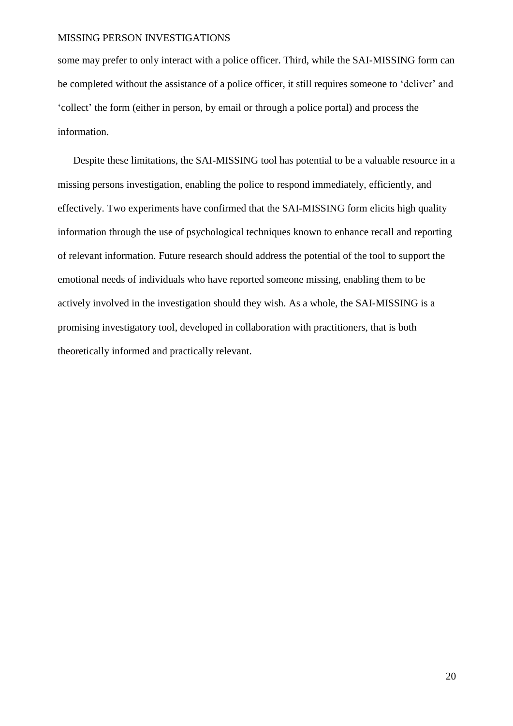some may prefer to only interact with a police officer. Third, while the SAI-MISSING form can be completed without the assistance of a police officer, it still requires someone to 'deliver' and 'collect' the form (either in person, by email or through a police portal) and process the information.

Despite these limitations, the SAI-MISSING tool has potential to be a valuable resource in a missing persons investigation, enabling the police to respond immediately, efficiently, and effectively. Two experiments have confirmed that the SAI-MISSING form elicits high quality information through the use of psychological techniques known to enhance recall and reporting of relevant information. Future research should address the potential of the tool to support the emotional needs of individuals who have reported someone missing, enabling them to be actively involved in the investigation should they wish. As a whole, the SAI-MISSING is a promising investigatory tool, developed in collaboration with practitioners, that is both theoretically informed and practically relevant.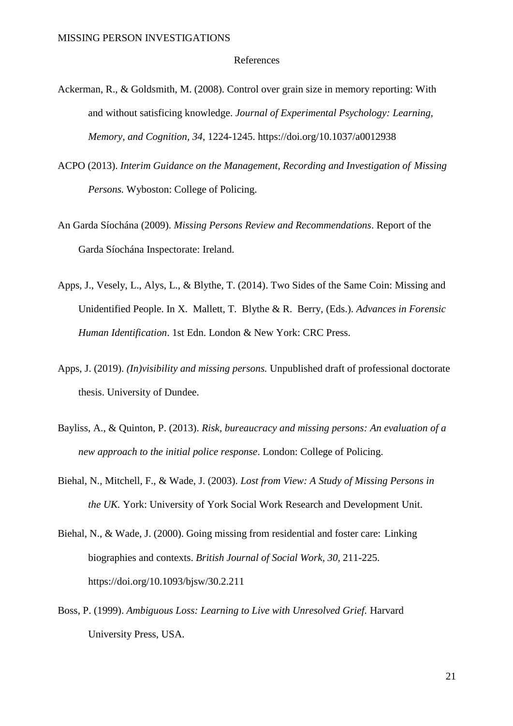#### References

- Ackerman, R., & Goldsmith, M. (2008). Control over grain size in memory reporting: With and without satisficing knowledge. *Journal of Experimental Psychology: Learning, Memory, and Cognition, 34,* 1224-1245. https://doi.org/10.1037/a0012938
- ACPO (2013). *Interim Guidance on the Management, Recording and Investigation of Missing Persons.* Wyboston: College of Policing.
- An Garda Síochána (2009). *Missing Persons Review and Recommendations*. Report of the Garda Síochána Inspectorate: Ireland.
- Apps, J., Vesely, L., Alys, L., & Blythe, T. (2014). Two Sides of the Same Coin: Missing and Unidentified People. In X. Mallett, T. Blythe & R. Berry, (Eds.). *Advances in Forensic Human Identification*. 1st Edn. London & New York: CRC Press.
- Apps, J. (2019). *(In)visibility and missing persons.* Unpublished draft of professional doctorate thesis. University of Dundee.
- Bayliss, A., & Quinton, P. (2013). *Risk, bureaucracy and missing persons: An evaluation of a new approach to the initial police response*. London: College of Policing.
- Biehal, N., Mitchell, F., & Wade, J. (2003). *Lost from View: A Study of Missing Persons in the UK.* York: University of York Social Work Research and Development Unit.
- Biehal, N., & Wade, J. (2000). Going missing from residential and foster care: Linking biographies and contexts. *British Journal of Social Work, 30,* 211-225. <https://doi.org/10.1093/bjsw/30.2.211>
- Boss, P. (1999). *Ambiguous Loss: Learning to Live with Unresolved Grief.* Harvard University Press, USA.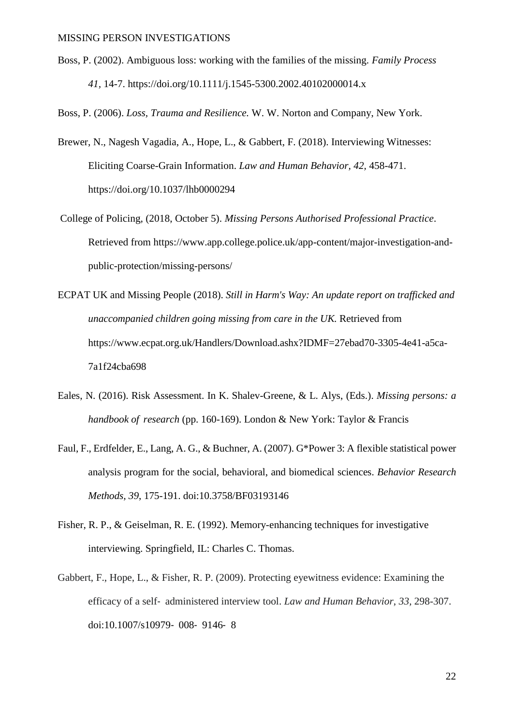Boss, P. (2002). Ambiguous loss: working with the families of the missing. *Family Process 41,* 14-7. https://doi.org/10.1111/j.1545-5300.2002.40102000014.x

Boss, P. (2006). *Loss, Trauma and Resilience.* W. W. Norton and Company, New York.

- Brewer, N., Nagesh Vagadia, A., Hope, L., & Gabbert, F. (2018). Interviewing Witnesses: Eliciting Coarse-Grain Information. *Law and Human Behavior, 42,* 458-471. https://doi.org/10.1037/lhb0000294
- College of Policing, (2018, October 5). *Missing Persons Authorised Professional Practice*. Retrieved from https://www.app.college.police.uk/app-content/major-investigation-andpublic-protection/missing-persons/
- ECPAT UK and Missing People (2018). *Still in Harm's Way: An update report on trafficked and unaccompanied children going missing from care in the UK.* Retrieved from https://www.ecpat.org.uk/Handlers/Download.ashx?IDMF=27ebad70-3305-4e41-a5ca-7a1f24cba698
- Eales, N. (2016). Risk Assessment. In K. Shalev-Greene, & L. Alys, (Eds.). *Missing persons: a handbook of research* (pp. 160-169). London & New York: Taylor & Francis
- Faul, F., Erdfelder, E., Lang, A. G., & Buchner, A. (2007). G\*Power 3: A flexible statistical power analysis program for the social, behavioral, and biomedical sciences. *Behavior Research Methods, 39*, 175-191. doi:10.3758/BF03193146
- Fisher, R. P., & Geiselman, R. E. (1992). Memory-enhancing techniques for investigative interviewing. Springfield, IL: Charles C. Thomas.
- Gabbert, F., Hope, L., & Fisher, R. P. (2009). Protecting eyewitness evidence: Examining the efficacy of a self‐ administered interview tool. *Law and Human Behavior*, *33,* 298-307. doi[:10.1007/s10979](https://doi.org/10.1007/s10979-008-9146-8)‐ 008‐ 9146‐ 8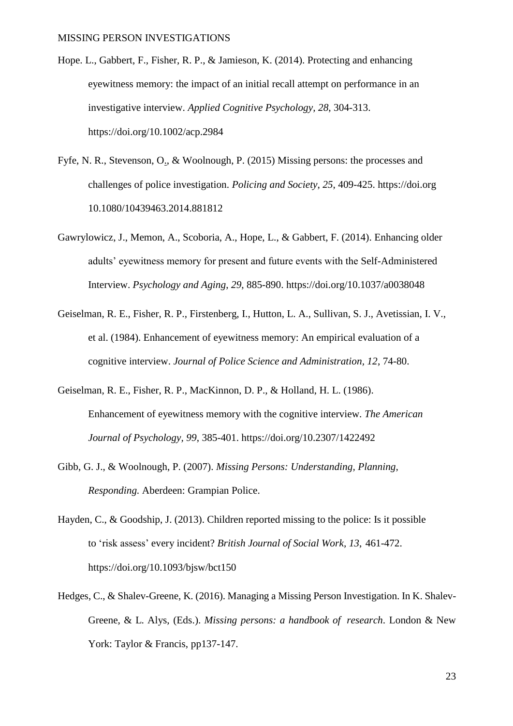- Hope. L., Gabbert, F., Fisher, R. P., & Jamieson, K. (2014). [Protecting and enhancing](https://researchportal.port.ac.uk/portal/en/publications/protecting-and-enhancing-eyewitness-memory(508932d0-641c-4d2b-bd0d-e61fd7d6e2ba).html)  [eyewitness memory: the impact of an initial recall attempt on performance in an](https://researchportal.port.ac.uk/portal/en/publications/protecting-and-enhancing-eyewitness-memory(508932d0-641c-4d2b-bd0d-e61fd7d6e2ba).html)  [investigative interview.](https://researchportal.port.ac.uk/portal/en/publications/protecting-and-enhancing-eyewitness-memory(508932d0-641c-4d2b-bd0d-e61fd7d6e2ba).html) *Applied Cognitive Psychology, 28*, 304-313. <https://doi.org/10.1002/acp.2984>
- Fyfe, N. R., [Stevenson,](http://eprints.gla.ac.uk/view/author/16064.html) O., & Woolnough, P. (2015) Missing persons: the processes and challenges of police investigation. *[Policing](http://eprints.gla.ac.uk/view/journal_volume/Policing_and_Society.html) and Society*, *25*, 409-425. https://doi.org [10.1080/10439463.2014.881812](http://dx.doi.org/10.1080/10439463.2014.881812)
- Gawrylowicz, J., Memon, A., Scoboria, A., Hope, L., & Gabbert, F. (2014). Enhancing older adults' eyewitness memory for present and future events with the Self-Administered Interview. *Psychology and Aging*, *29*, 885-890. <https://doi.org/10.1037/a0038048>
- Geiselman, R. E., Fisher, R. P., Firstenberg, I., Hutton, L. A., Sullivan, S. J., Avetissian, I. V., et al. (1984). Enhancement of eyewitness memory: An empirical evaluation of a cognitive interview. *Journal of Police Science and Administration, 12*, 74-80.
- Geiselman, R. E., Fisher, R. P., MacKinnon, D. P., & Holland, H. L. (1986). Enhancement of eyewitness memory with the cognitive interview. *The American Journal of Psychology, 99*, 385-401. https://doi.org/10.2307/1422492
- Gibb, G. J., & Woolnough, P. (2007). *Missing Persons: Understanding, Planning, Responding.* Aberdeen: Grampian Police.
- Hayden, C., & Goodship, J. (2013). Children reported missing to the police: Is it possible to 'risk assess' every incident? *British Journal of Social Work, 13*, 461-472. <https://doi.org/10.1093/bjsw/bct150>
- Hedges, C., & Shalev-Greene, K. (2016). Managing a Missing Person Investigation. In K. Shalev-Greene, & L. Alys, (Eds.). *Missing persons: a handbook of research*. London & New York: Taylor & Francis, pp137-147.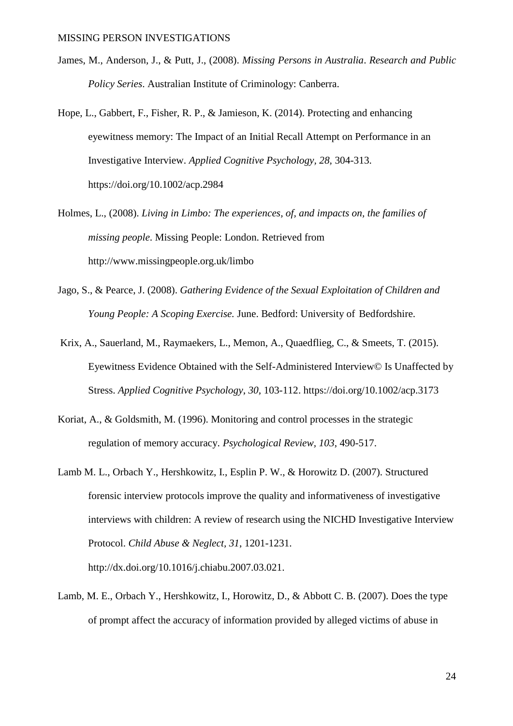- James, M., Anderson, J., & Putt, J., (2008). *Missing Persons in Australia*. *Research and Public Policy Series*. Australian Institute of Criminology: Canberra.
- Hope, L., Gabbert, F., Fisher, R. P., & Jamieson, K. (2014). Protecting and enhancing eyewitness memory: The Impact of an Initial Recall Attempt on Performance in an Investigative Interview. *Applied Cognitive Psychology, 28,* 304-313. https:/[/doi.org/10.1002/acp.2984](https://doi.org/10.1002/acp.2984)
- Holmes, L., (2008). *Living in Limbo: The experiences, of, and impacts on, the families of missing people*. Missing People: London. Retrieved from http://www.missingpeople.org.uk/limbo
- Jago, S., & Pearce, J. (2008). *Gathering Evidence of the Sexual Exploitation of Children and Young People: A Scoping Exercise.* June. Bedford: University of Bedfordshire.
- Krix, A., Sauerland, M., Raymaekers, L., Memon, A., Quaedflieg, C., & Smeets, T. (2015). Eyewitness Evidence Obtained with the Self-Administered Interview© Is Unaffected by Stress. *Applied Cognitive Psychology*, *30,* 103-112. <https://doi.org/10.1002/acp.3173>
- Koriat, A., & Goldsmith, M. (1996). Monitoring and control processes in the strategic regulation of memory accuracy. *Psychological Review, 103*, 490-517.
- Lamb M. L., Orbach Y., Hershkowitz, I., Esplin P. W., & Horowitz D. (2007). Structured forensic interview protocols improve the quality and informativeness of investigative interviews with children: A review of research using the NICHD Investigative Interview Protocol. *Child Abuse & Neglect, 31*, 1201-1231. http://dx.doi.org/10.1016/j.chiabu.2007.03.021.
- Lamb, M. E., Orbach Y., Hershkowitz, I., Horowitz, D., & Abbott C. B. (2007). Does the type of prompt affect the accuracy of information provided by alleged victims of abuse in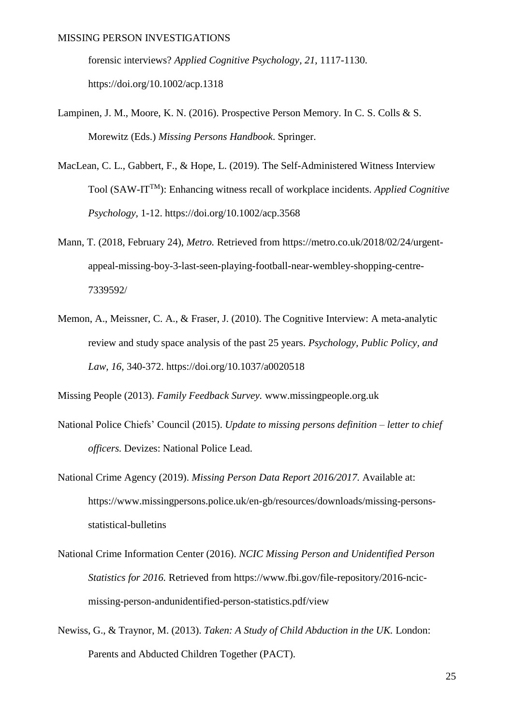forensic interviews? *Applied Cognitive Psychology, 21*, 1117-1130. [https://doi.org/10.1002/acp.1318](file:///C:/Users/Fiona%201/Desktop/MISPER%20project/Missing%20person%20study/MISPER%20ms/%20https:/doi.org/10.1002/acp.1318)

- Lampinen, J. M., Moore, K. N. (2016). Prospective Person Memory. In C. S. Colls & S. Morewitz (Eds.) *Missing Persons Handbook*. Springer.
- MacLean, C. L., Gabbert, F., & Hope, L. (2019). The Self-Administered Witness Interview Tool (SAW-ITTM): Enhancing witness recall of workplace incidents. *Applied Cognitive Psychology,* 1-12. https://doi.org/10.1002/acp.3568
- Mann, T. (2018, February 24), *Metro.* Retrieved from https://metro.co.uk/2018/02/24/urgentappeal-missing-boy-3-last-seen-playing-football-near-wembley-shopping-centre-7339592/
- Memon, A., Meissner, C. A., & Fraser, J. (2010). The Cognitive Interview: A meta-analytic review and study space analysis of the past 25 years. *Psychology, Public Policy, and Law, 16*, 340-372. https://doi.org/10.1037/a0020518

Missing People (2013). *Family Feedback Survey.* www.missingpeople.org.uk

- National Police Chiefs' Council (2015). *Update to missing persons definition – letter to chief officers.* Devizes: National Police Lead.
- National Crime Agency (2019). *Missing Person Data Report 2016/2017.* Available at: https://www.missingpersons.police.uk/en-gb/resources/downloads/missing-personsstatistical-bulletins
- National Crime Information Center (2016). *NCIC Missing Person and Unidentified Person Statistics for 2016.* Retrieved from https://www.fbi.gov/file-repository/2016-ncicmissing-person-andunidentified-person-statistics.pdf/view
- Newiss, G., & Traynor, M. (2013). *Taken: A Study of Child Abduction in the UK.* London: Parents and Abducted Children Together (PACT).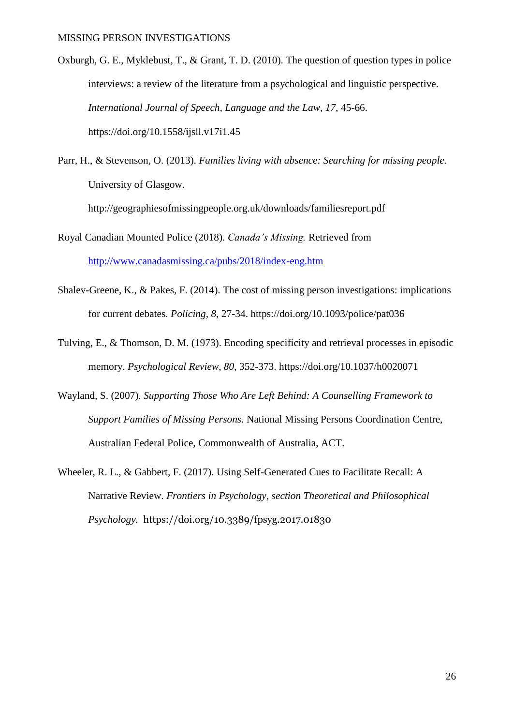- Oxburgh, G. E., Myklebust, T., & Grant, T. D. (2010). The question of question types in police interviews: a review of the literature from a psychological and linguistic perspective. *International Journal of Speech, Language and the Law, 17,* 45-66. <https://doi.org/10.1558/ijsll.v17i1.45>
- Parr, H., & Stevenson, O. (2013). *Families living with absence: Searching for missing people.* University of Glasgow.

http://geographiesofmissingpeople.org.uk/downloads/familiesreport.pdf

- Royal Canadian Mounted Police (2018). *Canada's Missing.* Retrieved from <http://www.canadasmissing.ca/pubs/2018/index-eng.htm>
- Shalev-Greene, K., & Pakes, F. (2014). The cost of missing person investigations: implications for current debates. *Policing, 8,* 27-34. https://doi.org/10.1093/police/pat036
- Tulving, E., & Thomson, D. M. (1973). Encoding specificity and retrieval processes in episodic memory. *Psychological Review, 80*, 352-373. https://doi.org/10.1037/h0020071
- Wayland, S. (2007). *Supporting Those Who Are Left Behind: A Counselling Framework to Support Families of Missing Persons.* National Missing Persons Coordination Centre, Australian Federal Police, Commonwealth of Australia, ACT.
- Wheeler, R. L., & Gabbert, F. (2017). Using Self-Generated Cues to Facilitate Recall: A Narrative Review. *Frontiers in Psychology, section Theoretical and Philosophical Psychology.* <https://doi.org/10.3389/fpsyg.2017.01830>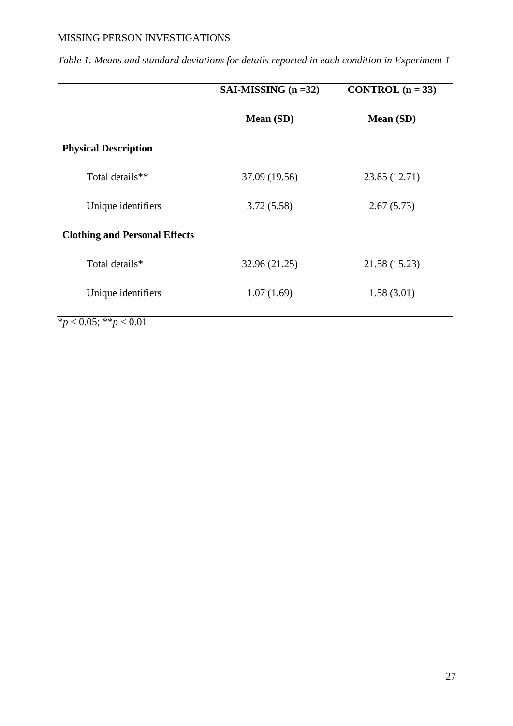|                                      | SAI-MISSING $(n = 32)$ | CONTROL $(n = 33)$ |
|--------------------------------------|------------------------|--------------------|
|                                      | Mean (SD)              | Mean (SD)          |
| <b>Physical Description</b>          |                        |                    |
| Total details**                      | 37.09 (19.56)          | 23.85 (12.71)      |
| Unique identifiers                   | 3.72(5.58)             | 2.67(5.73)         |
| <b>Clothing and Personal Effects</b> |                        |                    |
| Total details*                       | 32.96 (21.25)          | 21.58 (15.23)      |
| Unique identifiers                   | 1.07(1.69)             | 1.58(3.01)         |
| * $p < 0.05$ ; ** $p < 0.01$         |                        |                    |

*Table 1. Means and standard deviations for details reported in each condition in Experiment 1*